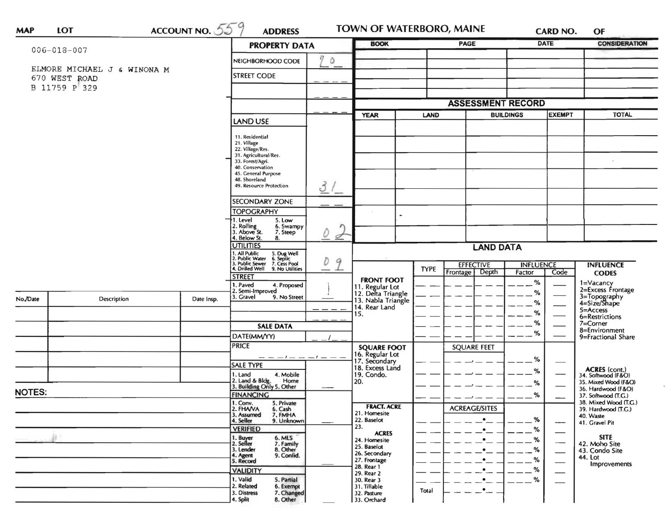| $\frac{\text{ACCOUNT NO.}}{559}$ |                             |                                 | <b>PROPERTY DATA</b>                                      |                                                                                                   | <b>BOOK</b><br><b>PAGE</b>                                  |             | <b>DATE</b>              |                  | <b>CONSIDERATION</b> |                                              |
|----------------------------------|-----------------------------|---------------------------------|-----------------------------------------------------------|---------------------------------------------------------------------------------------------------|-------------------------------------------------------------|-------------|--------------------------|------------------|----------------------|----------------------------------------------|
| $006 - 018 - 007$                |                             |                                 |                                                           | 17                                                                                                |                                                             |             |                          |                  |                      |                                              |
|                                  | ELMORE MICHAEL J & WINONA M |                                 | NEIGHBORHOOD CODE                                         | $\circ$                                                                                           |                                                             |             |                          |                  |                      |                                              |
|                                  | 670 WEST ROAD               |                                 | <b>STREET CODE</b>                                        |                                                                                                   |                                                             |             |                          |                  |                      |                                              |
|                                  | B 11759 P 329               |                                 |                                                           |                                                                                                   |                                                             |             |                          |                  |                      |                                              |
|                                  |                             |                                 |                                                           |                                                                                                   |                                                             |             | <b>ASSESSMENT RECORD</b> |                  |                      |                                              |
|                                  |                             |                                 |                                                           |                                                                                                   | <b>BUILDINGS</b>                                            |             |                          | <b>EXEMPT</b>    | <b>TOTAL</b>         |                                              |
|                                  |                             |                                 | LAND USE                                                  |                                                                                                   | <b>YEAR</b>                                                 | <b>LAND</b> |                          |                  |                      |                                              |
|                                  |                             |                                 | 11. Residential                                           |                                                                                                   |                                                             |             |                          |                  |                      |                                              |
|                                  |                             |                                 | 21. Village                                               |                                                                                                   |                                                             |             |                          |                  |                      |                                              |
|                                  |                             |                                 | 22. Village/Res.<br>31. Agricultural/Res.                 |                                                                                                   |                                                             |             |                          |                  |                      |                                              |
|                                  |                             |                                 | 33. Forest/Agri.<br>40. Conservation                      |                                                                                                   |                                                             |             |                          |                  |                      | $\sim$                                       |
|                                  |                             |                                 | 45. General Purpose<br>48. Shoreland                      |                                                                                                   |                                                             |             |                          |                  |                      |                                              |
|                                  |                             |                                 | 49. Resource Protection                                   | 31                                                                                                |                                                             |             |                          |                  |                      |                                              |
|                                  |                             |                                 | <b>SECONDARY ZONE</b>                                     |                                                                                                   |                                                             |             |                          |                  |                      |                                              |
|                                  |                             |                                 | <b>TOPOGRAPHY</b>                                         |                                                                                                   |                                                             |             |                          |                  |                      |                                              |
|                                  |                             | 1. Level<br>5. Low              |                                                           | ۰                                                                                                 |                                                             |             |                          |                  |                      |                                              |
|                                  |                             |                                 | 2. Rolling<br>3. Above St.<br>6. Swampy<br>7. Steep       | D                                                                                                 |                                                             |             |                          |                  |                      |                                              |
|                                  |                             |                                 | 4. Below St.<br>8.<br><b>UTILITIES</b>                    | ₫                                                                                                 |                                                             |             |                          |                  |                      |                                              |
|                                  |                             | . All Public<br>2. Public Water | D<br>9                                                    | <b>LAND DATA</b>                                                                                  |                                                             |             |                          |                  |                      |                                              |
|                                  |                             |                                 |                                                           | 5. Dug Well<br>6. Septic<br>7. Cess Pool<br>9. No Utilities<br>3. Public Sewer<br>4. Drilled Well |                                                             | <b>TYPE</b> | <b>EFFECTIVE</b>         | <b>INFLUENCE</b> |                      | <b>INFLUENCE</b>                             |
|                                  |                             |                                 | <b>STREET</b>                                             |                                                                                                   | <b>FRONT FOOT</b>                                           |             | Frontage<br>Depth        | Factor           | Code                 | <b>CODES</b>                                 |
|                                  |                             |                                 | I. Paved<br>4. Proposed<br>2. Semi-Improved               |                                                                                                   |                                                             |             |                          | %                |                      | 1=Vacancy<br>2=Excess Frontage               |
| No./Date                         | Description                 | Date Insp.                      | 3. Gravel<br>9. No Street                                 |                                                                                                   | 11. Regular Lot<br>12. Delta Triangle<br>13. Nabla Triangle |             |                          | %                |                      | 3=Topography<br>4=Size/Shape                 |
|                                  |                             |                                 |                                                           |                                                                                                   | 14. Rear Land                                               |             |                          | %<br>%           |                      | 5=Access                                     |
|                                  |                             |                                 |                                                           |                                                                                                   | 15.                                                         |             |                          | $\%$             |                      | 6=Restrictions<br>7=Corner                   |
|                                  |                             |                                 | <b>SALE DATA</b>                                          |                                                                                                   |                                                             |             |                          | %                |                      | 8=Environment                                |
|                                  |                             |                                 | DATE(MM/YY)<br><b>PRICE</b>                               |                                                                                                   |                                                             |             |                          |                  |                      | 9=Fractional Share                           |
|                                  |                             |                                 |                                                           |                                                                                                   | <b>SQUARE FOOT</b><br>16. Regular Lot                       |             | <b>SQUARE FEET</b>       |                  |                      |                                              |
|                                  |                             |                                 | <b>SALE TYPE</b>                                          |                                                                                                   | 17. Secondary<br>18. Excess Land                            |             |                          | %                |                      |                                              |
|                                  |                             |                                 | 4. Mobile<br>1. Land                                      |                                                                                                   | 19. Condo.                                                  |             |                          | %                |                      | <b>ACRES</b> (cont.)<br>34. Softwood (F&O)   |
|                                  |                             |                                 | 2. Land & Bldg. Home<br>3. Building Only 5. Other<br>Home |                                                                                                   | 20.                                                         |             |                          | %                |                      | 35. Mixed Wood (F&O)<br>36. Hardwood (F&O)   |
| <b>NOTES:</b>                    |                             |                                 | <b>FINANCING</b>                                          |                                                                                                   |                                                             |             |                          | %                |                      | 37. Softwood (T.G.)                          |
|                                  |                             |                                 | 1. Conv.<br>5. Private<br>2. FHANA<br>6. Cash             |                                                                                                   | <b>FRACT. ACRE</b>                                          |             | <b>ACREAGE/SITES</b>     |                  |                      | 38. Mixed Wood (T.G.)<br>39. Hardwood (T.G.) |
|                                  |                             |                                 | 7. FMHA<br>3. Assumed<br>9. Unknown<br>4. Seller          |                                                                                                   | 21. Homesite<br>22. Baselot                                 |             | ٠                        | %                |                      | 40. Waste<br>41. Gravel Pit                  |
|                                  |                             | <b>VERIFIED</b>                 |                                                           | 23.<br><b>ACRES</b>                                                                               |                                                             |             | %                        | --               |                      |                                              |
|                                  |                             |                                 | 6. MLS<br>1. Buyer<br>2. Seller<br>7. Family              |                                                                                                   | 24. Homesite                                                |             |                          | %                |                      | <b>SITE</b><br>42. Moho Site                 |
|                                  |                             |                                 | 8. Other<br>3. Lender                                     |                                                                                                   | 25. Baselot<br>26. Secondary                                |             |                          | %                |                      | 43. Condo Site                               |
|                                  |                             |                                 | 9. Confid.<br>1. Agent<br>5. Record                       |                                                                                                   | 27. Frontage                                                |             |                          | %                |                      | 44. Lot<br>Improvements                      |
|                                  |                             |                                 | <b>VALIDITY</b>                                           |                                                                                                   | 28. Rear 1<br>29. Rear 2                                    |             |                          | %                |                      |                                              |
|                                  |                             |                                 | 1. Valid<br>5. Partial<br>2. Related<br>6. Exempt         |                                                                                                   | 30. Rear 3<br>31. Tillable                                  |             | ٠                        | %                |                      |                                              |
|                                  |                             |                                 | 7. Changed<br>3. Distress                                 |                                                                                                   | 32. Pasture                                                 | Total       | $\bullet$                |                  |                      |                                              |
|                                  |                             |                                 | 4. Split<br>8. Other                                      |                                                                                                   | 33. Orchard                                                 |             |                          |                  |                      |                                              |